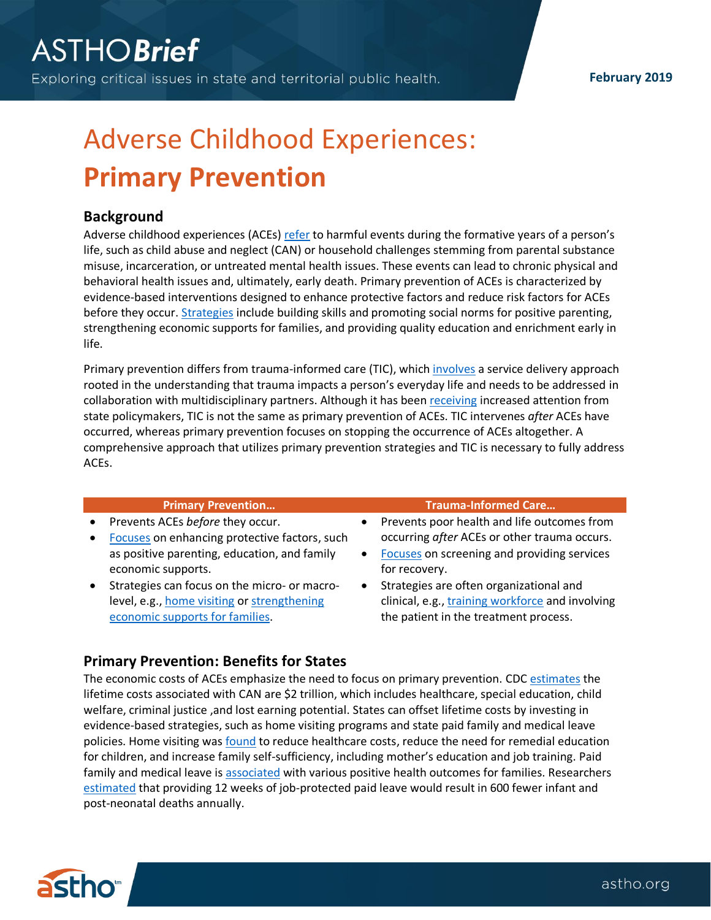# Adverse Childhood Experiences: **Primary Prevention**

## **Background**

Adverse childhood experiences (ACEs[\) refer](https://www.cdc.gov/violenceprevention/acestudy/about_ace.html) to harmful events during the formative years of a person's life, such as child abuse and neglect (CAN) or household challenges stemming from parental substance misuse, incarceration, or untreated mental health issues. These events can lead to chronic physical and behavioral health issues and, ultimately, early death. Primary prevention of ACEs is characterized by evidence-based interventions designed to enhance protective factors and reduce risk factors for ACEs before they occur. [Strategies](https://www.cdc.gov/violenceprevention/pdf/CAN-Prevention-Technical-Package.pdf) include building skills and promoting social norms for positive parenting, strengthening economic supports for families, and providing quality education and enrichment early in life.

Primary prevention differs from trauma-informed care (TIC), which [involves](https://www.samhsa.gov/samhsaNewsLetter/Volume_22_Number_2/trauma_tip/) a service delivery approach rooted in the understanding that trauma impacts a person's everyday life and needs to be addressed in collaboration with multidisciplinary partners. Although it has been [receiving](https://www.childtrends.org/child-trends-5/5-ways-trauma-informed-care-supports-childrens-development) increased attention from state policymakers, TIC is not the same as primary prevention of ACEs. TIC intervenes *after* ACEs have occurred, whereas primary prevention focuses on stopping the occurrence of ACEs altogether. A comprehensive approach that utilizes primary prevention strategies and TIC is necessary to fully address ACEs.

| <b>Primary Prevention</b>                     |           | <b>Trauma-Informed Care</b>                      |
|-----------------------------------------------|-----------|--------------------------------------------------|
| Prevents ACEs before they occur.              |           | Prevents poor health and life outcomes from      |
| Focuses on enhancing protective factors, such |           | occurring after ACEs or other trauma occurs.     |
| as positive parenting, education, and family  | $\bullet$ | Focuses on screening and providing services      |
| economic supports.                            |           | for recovery.                                    |
| Strategies can focus on the micro- or macro-  | $\bullet$ | Strategies are often organizational and          |
| level, e.g., home visiting or strengthening   |           | clinical, e.g., training workforce and involving |
| economic supports for families.               |           | the patient in the treatment process.            |
|                                               |           |                                                  |

## **Primary Prevention: Benefits for States**

The economic costs of ACEs emphasize the need to focus on primary prevention. CD[C estimates](https://www.ncbi.nlm.nih.gov/pmc/articles/PMC6289633/) the lifetime costs associated with CAN are \$2 trillion, which includes healthcare, special education, child welfare, criminal justice ,and lost earning potential. States can offset lifetime costs by investing in evidence-based strategies, such as home visiting programs and state paid family and medical leave policies. Home visiting was [found](https://www.pewtrusts.org/en/research-and-analysis/fact-sheets/2014/02/03/home-visiting-family-support-programs) to reduce healthcare costs, reduce the need for remedial education for children, and increase family self-sufficiency, including mother's education and job training. Paid family and medical leave is [associated](http://www.nationalpartnership.org/our-work/resources/workplace/paid-leave/the-child-development-case-for-a-national-paid-family-and-medical-leave-insurance-program.pdf) with various positive health outcomes for families. Researchers [estimated](https://onlinelibrary.wiley.com/doi/10.1002/wmh3.214) that providing 12 weeks of job-protected paid leave would result in 600 fewer infant and post-neonatal deaths annually.